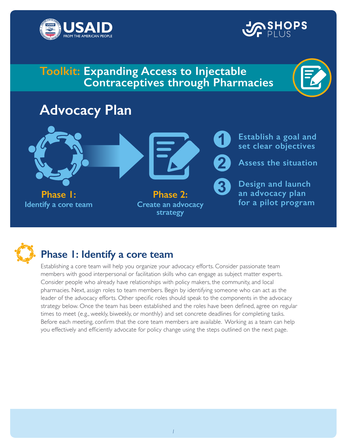



# **Toolkit: Expanding Access to Injectable Contraceptives through Pharmacies**

# **Advocacy Plan**





# **Phase 1: Identify a core team**

 Before each meeting, confirm that the core team members are available. Working as a team can help Establishing a core team will help you organize your advocacy efforts. Consider passionate team members with good interpersonal or facilitation skills who can engage as subject matter experts. Consider people who already have relationships with policy makers, the community, and local pharmacies. Next, assign roles to team members. Begin by identifying someone who can act as the leader of the advocacy efforts. Other specific roles should speak to the components in the advocacy strategy below. Once the team has been established and the roles have been defined, agree on regular times to meet (e.g., weekly, biweekly, or monthly) and set concrete deadlines for completing tasks. you effectively and efficiently advocate for policy change using the steps outlined on the next page.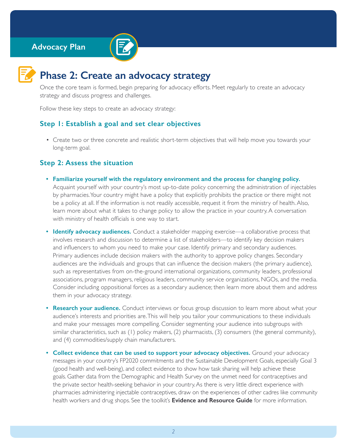#### **Advocacy Plan**





## **Phase 2: Create an advocacy strategy**

Once the core team is formed, begin preparing for advocacy efforts. Meet regularly to create an advocacy strategy and discuss progress and challenges.

Follow these key steps to create an advocacy strategy:

#### **Step 1: Establish a goal and set clear objectives**

• Create two or three concrete and realistic short-term objectives that will help move you towards your long-term goal.

#### **Step 2: Assess the situation**

- by pharmacies.Your country might have a policy that explicitly prohibits the practice or there might not<br>be a policy at all. If the information is not readily accessible, request it from the ministry of health. Also, be a policy at all. If the information is not readily accessible, request it from the ministry of health. Also, **• Familiarize yourself with the regulatory environment and the process for changing policy.**  Acquaint yourself with your country's most up-to-date policy concerning the administration of injectables learn more about what it takes to change policy to allow the practice in your country. A conversation with ministry of health officials is one way to start.
- **Identify advocacy audiences.** Conduct a stakeholder mapping exercise—a collaborative process that involves research and discussion to determine a list of stakeholders—to identify key decision makers and influencers to whom you need to make your case. Identify primary and secondary audiences. Primary audiences include decision makers with the authority to approve policy changes. Secondary audiences are the individuals and groups that can influence the decision makers (the primary audience), such as representatives from on-the-ground international organizations, community leaders, professional associations, program managers, religious leaders, community service organizations, NGOs, and the media. Consider including oppositional forces as a secondary audience; then learn more about them and address them in your advocacy strategy.
- and (4) commodities/supply chain manufacturers. **• Research your audience.** Conduct interviews or focus group discussion to learn more about what your audience's interests and priorities are.This will help you tailor your communications to these individuals and make your messages more compelling. Consider segmenting your audience into subgroups with similar characteristics, such as (1) policy makers, (2) pharmacists, (3) consumers (the general community),
- health workers and drug shops. See the toolkit's **Evidence and Resource Guide** for more information. **• Collect evidence that can be used to support your advocacy objectives.** Ground your advocacy messages in your country's FP2020 commitments and the Sustainable Development Goals, especially Goal 3 (good health and well-being), and collect evidence to show how task sharing will help achieve these goals. Gather data from the Demographic and Health Survey on the unmet need for contraceptives and the private sector health-seeking behavior in your country. As there is very little direct experience with pharmacies administering injectable contraceptives, draw on the experiences of other cadres like community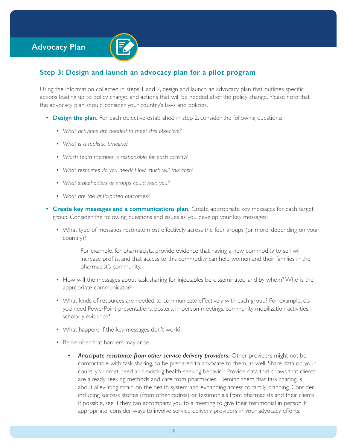## **Advocacy Plan**



### **Step 3: Design and launch an advocacy plan for a pilot program**

Using the information collected in steps 1 and 2, design and launch an advocacy plan that outlines specific actions leading up to policy change, and actions that will be needed after the policy change. Please note that the advocacy plan should consider your country's laws and policies.

- **Design the plan.** For each objective established in step 2, consider the following questions:
	- *What activities are needed to meet this objective?*
	- *What is a realistic timeline?*
	- *Which team member is responsible for each activity?*
	- *What resources do you need? How much will this cost?*
	- *What stakeholders or groups could help you?*
	- *What are the anticipated outcomes?*
- **Create key messages and a communications plan.** Create appropriate key messages for each target group. Consider the following questions and issues as you develop your key messages:
	- What type of messages resonate most effectively across the four groups (or more, depending on your country)?

For example, for pharmacists, provide evidence that having a new commodity to sell will increase profits, and that access to this commodity can help women and their families in the pharmacist's community.

- How will the messages about task sharing for injectables be disseminated, and by whom? Who is the appropriate communicator?
- What kinds of resources are needed to communicate effectively with each group? For example, do you need PowerPoint presentations, posters, in-person meetings, community mobilization activities, scholarly evidence?
- What happens if the key messages don't work?
- Remember that barriers may arise.
	- *Anticipate resistance from other service delivery providers:* Other providers might not be comfortable with task sharing, so be prepared to advocate to them, as well. Share data on your country's unmet need and existing health-seeking behavior. Provide data that shows that clients are already seeking methods and care from pharmacies. Remind them that task sharing is about alleviating strain on the health system and expanding access to family planning. Consider including success stories (from other cadres) or testimonials from pharmacists and their clients. If possible, see if they can accompany you to a meeting to give their testimonial in person. If appropriate, consider ways to involve service delivery providers in your advocacy efforts.